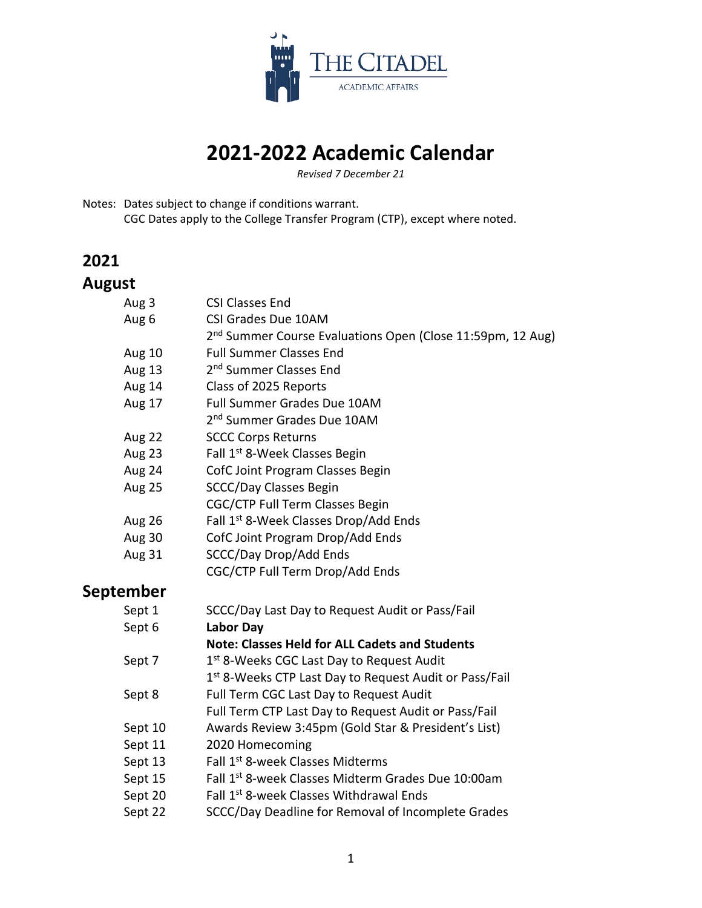

# **2021-2022 Academic Calendar**

*Revised 7 December 21*

Notes: Dates subject to change if conditions warrant. CGC Dates apply to the College Transfer Program (CTP), except where noted.

### **2021**

### **August**

| Aug 3            | <b>CSI Classes End</b>                                                 |
|------------------|------------------------------------------------------------------------|
| Aug 6            | <b>CSI Grades Due 10AM</b>                                             |
|                  | 2 <sup>nd</sup> Summer Course Evaluations Open (Close 11:59pm, 12 Aug) |
| <b>Aug 10</b>    | <b>Full Summer Classes End</b>                                         |
| Aug 13           | 2 <sup>nd</sup> Summer Classes End                                     |
| Aug 14           | Class of 2025 Reports                                                  |
| Aug 17           | <b>Full Summer Grades Due 10AM</b>                                     |
|                  | 2 <sup>nd</sup> Summer Grades Due 10AM                                 |
| Aug 22           | <b>SCCC Corps Returns</b>                                              |
| Aug 23           | Fall 1 <sup>st</sup> 8-Week Classes Begin                              |
| Aug 24           | CofC Joint Program Classes Begin                                       |
| <b>Aug 25</b>    | <b>SCCC/Day Classes Begin</b>                                          |
|                  | <b>CGC/CTP Full Term Classes Begin</b>                                 |
| <b>Aug 26</b>    | Fall 1 <sup>st</sup> 8-Week Classes Drop/Add Ends                      |
| Aug 30           | CofC Joint Program Drop/Add Ends                                       |
| <b>Aug 31</b>    | SCCC/Day Drop/Add Ends                                                 |
|                  | CGC/CTP Full Term Drop/Add Ends                                        |
| <b>September</b> |                                                                        |
| Sept 1           | SCCC/Day Last Day to Request Audit or Pass/Fail                        |
| Sept 6           | <b>Labor Day</b>                                                       |
|                  | <b>Note: Classes Held for ALL Cadets and Students</b>                  |
| Sept 7           | 1 <sup>st</sup> 8-Weeks CGC Last Day to Request Audit                  |
|                  | 1 <sup>st</sup> 8-Weeks CTP Last Day to Request Audit or Pass/Fail     |
| Sept 8           | Full Term CGC Last Day to Request Audit                                |
|                  | Full Term CTP Last Day to Request Audit or Pass/Fail                   |
| Sept 10          | Awards Review 3:45pm (Gold Star & President's List)                    |
| Sept 11          | 2020 Homecoming                                                        |
| Sept 13          | Fall 1 <sup>st</sup> 8-week Classes Midterms                           |
| Sept 15          | Fall 1st 8-week Classes Midterm Grades Due 10:00am                     |
| Sept 20          | Fall 1 <sup>st</sup> 8-week Classes Withdrawal Ends                    |
| Sept 22          | SCCC/Day Deadline for Removal of Incomplete Grades                     |
|                  |                                                                        |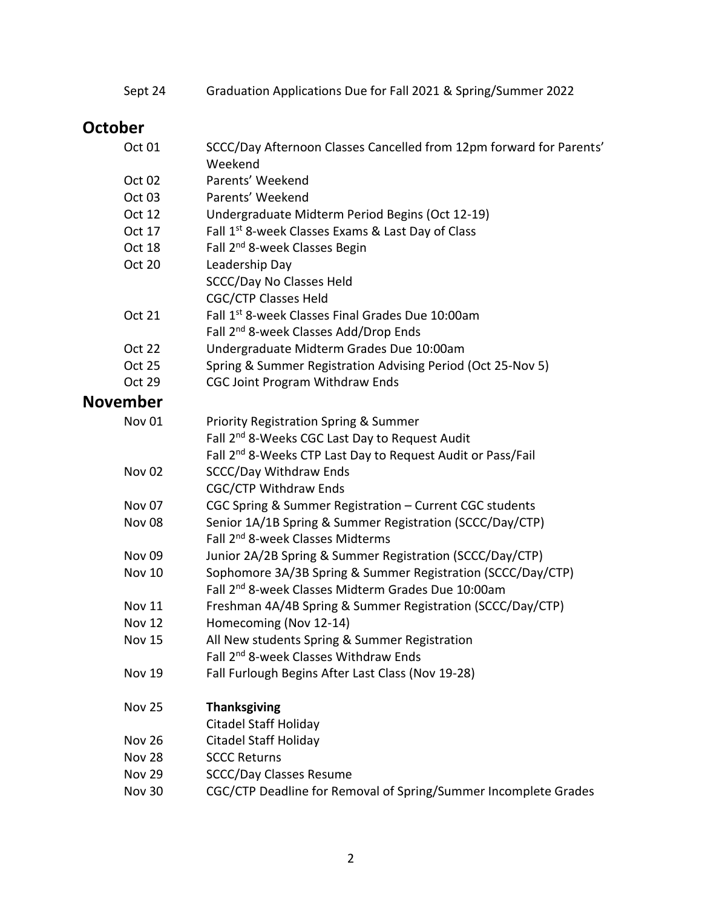Sept 24 Graduation Applications Due for Fall 2021 & Spring/Summer 2022

### **October**

| Oct 01            | SCCC/Day Afternoon Classes Cancelled from 12pm forward for Parents'<br>Weekend |
|-------------------|--------------------------------------------------------------------------------|
| Oct 02            | Parents' Weekend                                                               |
| Oct 03            | Parents' Weekend                                                               |
| Oct 12            | Undergraduate Midterm Period Begins (Oct 12-19)                                |
| Oct 17            | Fall 1 <sup>st</sup> 8-week Classes Exams & Last Day of Class                  |
| Oct 18            | Fall 2 <sup>nd</sup> 8-week Classes Begin                                      |
| <b>Oct 20</b>     | Leadership Day                                                                 |
|                   | <b>SCCC/Day No Classes Held</b>                                                |
|                   | <b>CGC/CTP Classes Held</b>                                                    |
| <b>Oct 21</b>     | Fall 1st 8-week Classes Final Grades Due 10:00am                               |
|                   | Fall 2 <sup>nd</sup> 8-week Classes Add/Drop Ends                              |
| <b>Oct 22</b>     | Undergraduate Midterm Grades Due 10:00am                                       |
| <b>Oct 25</b>     | Spring & Summer Registration Advising Period (Oct 25-Nov 5)                    |
| <b>Oct 29</b>     | <b>CGC Joint Program Withdraw Ends</b>                                         |
| <b>November</b>   |                                                                                |
| Nov <sub>01</sub> | <b>Priority Registration Spring &amp; Summer</b>                               |
|                   | Fall 2 <sup>nd</sup> 8-Weeks CGC Last Day to Request Audit                     |
|                   | Fall 2 <sup>nd</sup> 8-Weeks CTP Last Day to Request Audit or Pass/Fail        |
| <b>Nov 02</b>     | <b>SCCC/Day Withdraw Ends</b>                                                  |
|                   | <b>CGC/CTP Withdraw Ends</b>                                                   |
| Nov <sub>07</sub> | CGC Spring & Summer Registration - Current CGC students                        |
| <b>Nov 08</b>     | Senior 1A/1B Spring & Summer Registration (SCCC/Day/CTP)                       |
|                   | Fall 2 <sup>nd</sup> 8-week Classes Midterms                                   |
| Nov <sub>09</sub> | Junior 2A/2B Spring & Summer Registration (SCCC/Day/CTP)                       |
| Nov 10            | Sophomore 3A/3B Spring & Summer Registration (SCCC/Day/CTP)                    |
|                   | Fall 2 <sup>nd</sup> 8-week Classes Midterm Grades Due 10:00am                 |
| <b>Nov 11</b>     | Freshman 4A/4B Spring & Summer Registration (SCCC/Day/CTP)                     |
| <b>Nov 12</b>     | Homecoming (Nov 12-14)                                                         |
| Nov 15            | All New students Spring & Summer Registration                                  |
|                   | Fall 2 <sup>nd</sup> 8-week Classes Withdraw Ends                              |
| <b>Nov 19</b>     | Fall Furlough Begins After Last Class (Nov 19-28)                              |
| <b>Nov 25</b>     | <b>Thanksgiving</b>                                                            |
|                   | <b>Citadel Staff Holiday</b>                                                   |
| <b>Nov 26</b>     | <b>Citadel Staff Holiday</b>                                                   |
| <b>Nov 28</b>     | <b>SCCC Returns</b>                                                            |
| <b>Nov 29</b>     | <b>SCCC/Day Classes Resume</b>                                                 |
| <b>Nov 30</b>     | CGC/CTP Deadline for Removal of Spring/Summer Incomplete Grades                |
|                   |                                                                                |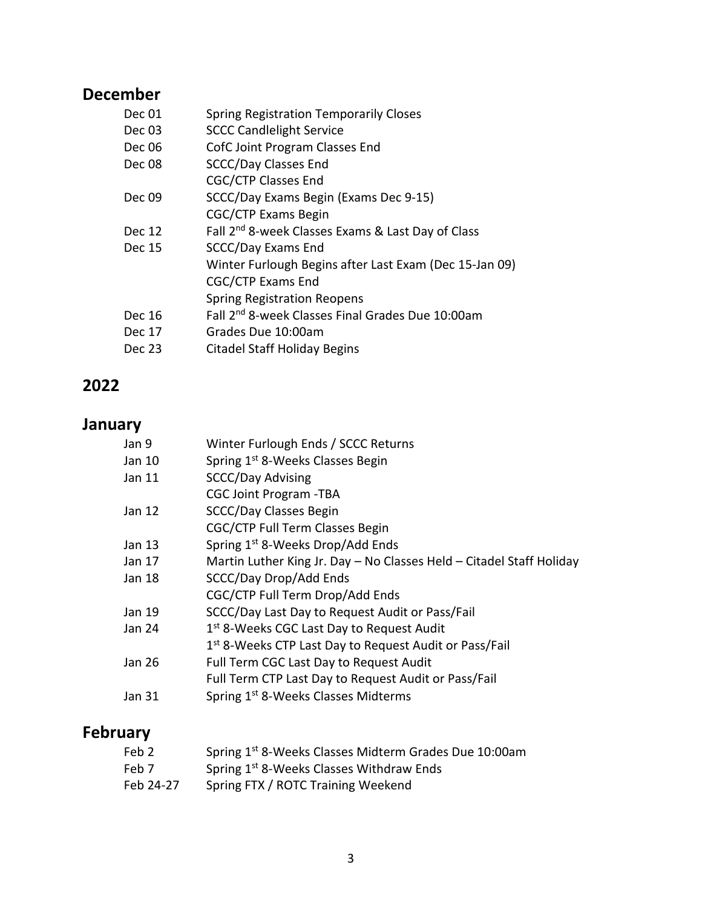### **December**

| Dec 01 | <b>Spring Registration Temporarily Closes</b>                 |
|--------|---------------------------------------------------------------|
| Dec 03 | <b>SCCC Candlelight Service</b>                               |
| Dec 06 | CofC Joint Program Classes End                                |
| Dec 08 | <b>SCCC/Day Classes End</b>                                   |
|        | <b>CGC/CTP Classes End</b>                                    |
| Dec 09 | SCCC/Day Exams Begin (Exams Dec 9-15)                         |
|        | <b>CGC/CTP Exams Begin</b>                                    |
| Dec 12 | Fall 2 <sup>nd</sup> 8-week Classes Exams & Last Day of Class |
| Dec 15 | <b>SCCC/Day Exams End</b>                                     |
|        | Winter Furlough Begins after Last Exam (Dec 15-Jan 09)        |
|        | CGC/CTP Exams End                                             |
|        | <b>Spring Registration Reopens</b>                            |
| Dec 16 | Fall 2 <sup>nd</sup> 8-week Classes Final Grades Due 10:00am  |
| Dec 17 | Grades Due 10:00am                                            |
| Dec 23 | <b>Citadel Staff Holiday Begins</b>                           |
|        |                                                               |

### **2022**

#### **January**

| Jan 9  | Winter Furlough Ends / SCCC Returns                                  |
|--------|----------------------------------------------------------------------|
| Jan 10 | Spring 1 <sup>st</sup> 8-Weeks Classes Begin                         |
| Jan 11 | <b>SCCC/Day Advising</b>                                             |
|        | <b>CGC Joint Program -TBA</b>                                        |
| Jan 12 | SCCC/Day Classes Begin                                               |
|        | CGC/CTP Full Term Classes Begin                                      |
| Jan 13 | Spring 1 <sup>st</sup> 8-Weeks Drop/Add Ends                         |
| Jan 17 | Martin Luther King Jr. Day - No Classes Held - Citadel Staff Holiday |
| Jan 18 | SCCC/Day Drop/Add Ends                                               |
|        | CGC/CTP Full Term Drop/Add Ends                                      |
| Jan 19 | SCCC/Day Last Day to Request Audit or Pass/Fail                      |
| Jan 24 | 1 <sup>st</sup> 8-Weeks CGC Last Day to Request Audit                |
|        | 1 <sup>st</sup> 8-Weeks CTP Last Day to Request Audit or Pass/Fail   |
| Jan 26 | Full Term CGC Last Day to Request Audit                              |
|        | Full Term CTP Last Day to Request Audit or Pass/Fail                 |
| Jan 31 | Spring 1 <sup>st</sup> 8-Weeks Classes Midterms                      |
|        |                                                                      |

# **February**

| Feb 2     | Spring 1 <sup>st</sup> 8-Weeks Classes Midterm Grades Due 10:00am |
|-----------|-------------------------------------------------------------------|
| Feb 7     | Spring 1 <sup>st</sup> 8-Weeks Classes Withdraw Ends              |
| Feb 24-27 | Spring FTX / ROTC Training Weekend                                |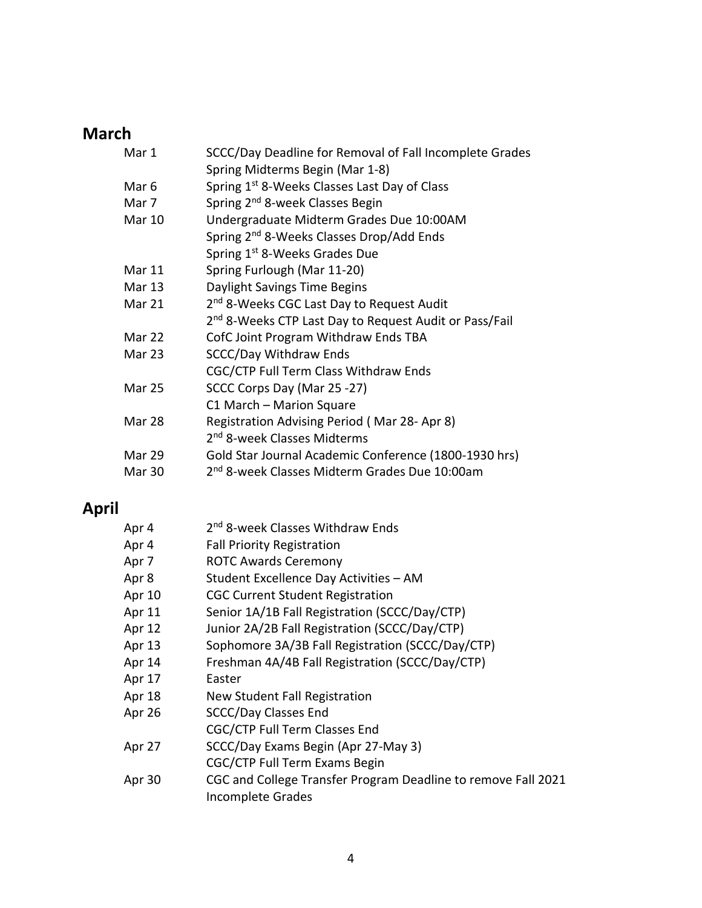### **March**

| Mar 1         | SCCC/Day Deadline for Removal of Fall Incomplete Grades            |
|---------------|--------------------------------------------------------------------|
|               | Spring Midterms Begin (Mar 1-8)                                    |
| Mar 6         | Spring 1 <sup>st</sup> 8-Weeks Classes Last Day of Class           |
| Mar 7         | Spring 2 <sup>nd</sup> 8-week Classes Begin                        |
| Mar 10        | Undergraduate Midterm Grades Due 10:00AM                           |
|               | Spring 2 <sup>nd</sup> 8-Weeks Classes Drop/Add Ends               |
|               | Spring 1 <sup>st</sup> 8-Weeks Grades Due                          |
| Mar 11        | Spring Furlough (Mar 11-20)                                        |
| Mar 13        | Daylight Savings Time Begins                                       |
| Mar 21        | 2 <sup>nd</sup> 8-Weeks CGC Last Day to Request Audit              |
|               | 2 <sup>nd</sup> 8-Weeks CTP Last Day to Request Audit or Pass/Fail |
| Mar 22        | CofC Joint Program Withdraw Ends TBA                               |
| <b>Mar 23</b> | <b>SCCC/Day Withdraw Ends</b>                                      |
|               | CGC/CTP Full Term Class Withdraw Ends                              |
| <b>Mar 25</b> | SCCC Corps Day (Mar 25 -27)                                        |
|               | C1 March - Marion Square                                           |
| Mar 28        | Registration Advising Period (Mar 28-Apr 8)                        |
|               | 2 <sup>nd</sup> 8-week Classes Midterms                            |
| Mar 29        | Gold Star Journal Academic Conference (1800-1930 hrs)              |
| Mar 30        | 2 <sup>nd</sup> 8-week Classes Midterm Grades Due 10:00am          |

# **April**

| Apr 4  | 2 <sup>nd</sup> 8-week Classes Withdraw Ends                  |
|--------|---------------------------------------------------------------|
| Apr 4  | <b>Fall Priority Registration</b>                             |
| Apr 7  | <b>ROTC Awards Ceremony</b>                                   |
| Apr 8  | Student Excellence Day Activities - AM                        |
| Apr 10 | <b>CGC Current Student Registration</b>                       |
| Apr 11 | Senior 1A/1B Fall Registration (SCCC/Day/CTP)                 |
| Apr 12 | Junior 2A/2B Fall Registration (SCCC/Day/CTP)                 |
| Apr 13 | Sophomore 3A/3B Fall Registration (SCCC/Day/CTP)              |
| Apr 14 | Freshman 4A/4B Fall Registration (SCCC/Day/CTP)               |
| Apr 17 | Easter                                                        |
| Apr 18 | New Student Fall Registration                                 |
| Apr 26 | <b>SCCC/Day Classes End</b>                                   |
|        | <b>CGC/CTP Full Term Classes End</b>                          |
| Apr 27 | SCCC/Day Exams Begin (Apr 27-May 3)                           |
|        | CGC/CTP Full Term Exams Begin                                 |
| Apr 30 | CGC and College Transfer Program Deadline to remove Fall 2021 |
|        | <b>Incomplete Grades</b>                                      |
|        |                                                               |